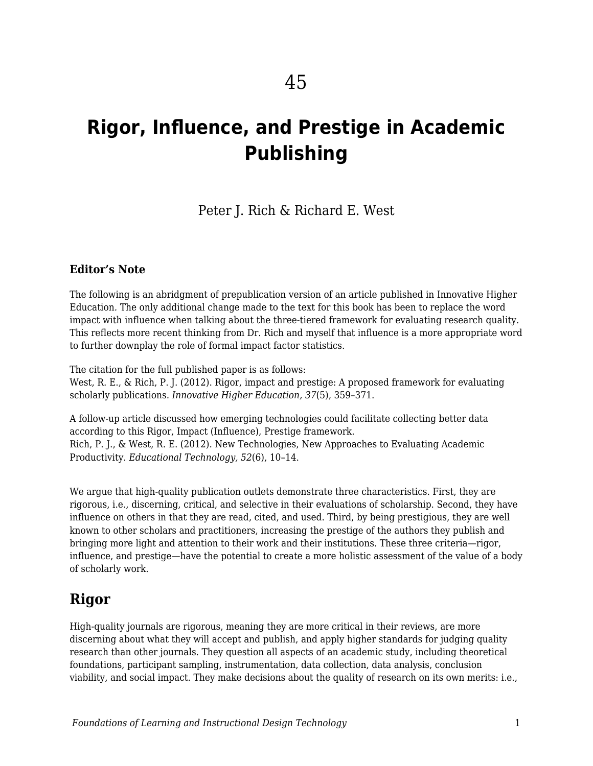# **Rigor, Influence, and Prestige in Academic Publishing**

Peter J. Rich & Richard E. West

#### **Editor's Note**

The following is an abridgment of prepublication version of an article published in Innovative Higher Education*.* The only additional change made to the text for this book has been to replace the word impact with influence when talking about the three-tiered framework for evaluating research quality. This reflects more recent thinking from Dr. Rich and myself that influence is a more appropriate word to further downplay the role of formal impact factor statistics.

The citation for the full published paper is as follows: West, R. E., & Rich, P. J. (2012). Rigor, impact and prestige: A proposed framework for evaluating scholarly publications. *Innovative Higher Education, 37*(5), 359–371.

A follow-up article discussed how emerging technologies could facilitate collecting better data according to this Rigor, Impact (Influence), Prestige framework. Rich, P. J., & West, R. E. (2012). New Technologies, New Approaches to Evaluating Academic Productivity. *Educational Technology, 52*(6), 10–14.

We argue that high-quality publication outlets demonstrate three characteristics. First, they are rigorous, i.e., discerning, critical, and selective in their evaluations of scholarship. Second, they have influence on others in that they are read, cited, and used. Third, by being prestigious, they are well known to other scholars and practitioners, increasing the prestige of the authors they publish and bringing more light and attention to their work and their institutions. These three criteria—rigor, influence, and prestige—have the potential to create a more holistic assessment of the value of a body of scholarly work.

### **Rigor**

High-quality journals are rigorous, meaning they are more critical in their reviews, are more discerning about what they will accept and publish, and apply higher standards for judging quality research than other journals. They question all aspects of an academic study, including theoretical foundations, participant sampling, instrumentation, data collection, data analysis, conclusion viability, and social impact. They make decisions about the quality of research on its own merits: i.e.,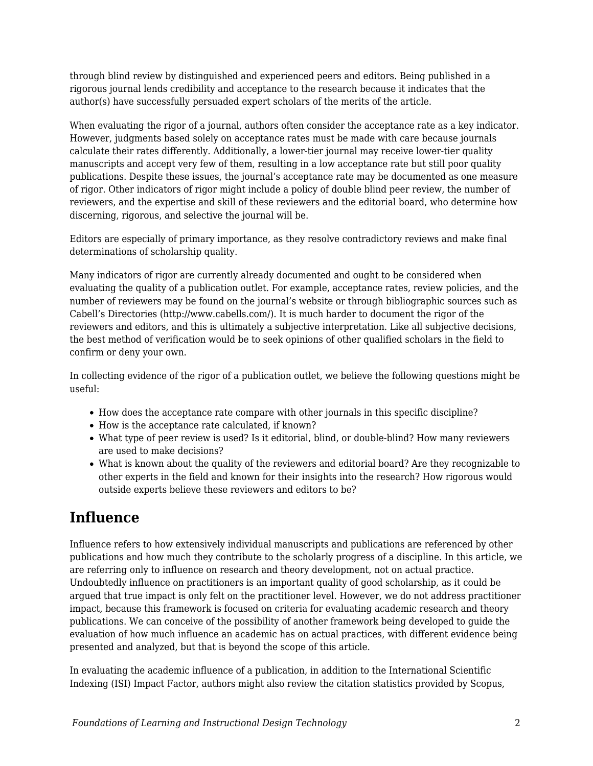through blind review by distinguished and experienced peers and editors. Being published in a rigorous journal lends credibility and acceptance to the research because it indicates that the author(s) have successfully persuaded expert scholars of the merits of the article.

When evaluating the rigor of a journal, authors often consider the acceptance rate as a key indicator. However, judgments based solely on acceptance rates must be made with care because journals calculate their rates differently. Additionally, a lower-tier journal may receive lower-tier quality manuscripts and accept very few of them, resulting in a low acceptance rate but still poor quality publications. Despite these issues, the journal's acceptance rate may be documented as one measure of rigor. Other indicators of rigor might include a policy of double blind peer review, the number of reviewers, and the expertise and skill of these reviewers and the editorial board, who determine how discerning, rigorous, and selective the journal will be.

Editors are especially of primary importance, as they resolve contradictory reviews and make final determinations of scholarship quality.

Many indicators of rigor are currently already documented and ought to be considered when evaluating the quality of a publication outlet. For example, acceptance rates, review policies, and the number of reviewers may be found on the journal's website or through bibliographic sources such as Cabell's Directories (http://www.cabells.com/). It is much harder to document the rigor of the reviewers and editors, and this is ultimately a subjective interpretation. Like all subjective decisions, the best method of verification would be to seek opinions of other qualified scholars in the field to confirm or deny your own.

In collecting evidence of the rigor of a publication outlet, we believe the following questions might be useful:

- How does the acceptance rate compare with other journals in this specific discipline?
- How is the acceptance rate calculated, if known?
- What type of peer review is used? Is it editorial, blind, or double-blind? How many reviewers are used to make decisions?
- What is known about the quality of the reviewers and editorial board? Are they recognizable to other experts in the field and known for their insights into the research? How rigorous would outside experts believe these reviewers and editors to be?

## **Influence**

Influence refers to how extensively individual manuscripts and publications are referenced by other publications and how much they contribute to the scholarly progress of a discipline. In this article, we are referring only to influence on research and theory development, not on actual practice. Undoubtedly influence on practitioners is an important quality of good scholarship, as it could be argued that true impact is only felt on the practitioner level. However, we do not address practitioner impact, because this framework is focused on criteria for evaluating academic research and theory publications. We can conceive of the possibility of another framework being developed to guide the evaluation of how much influence an academic has on actual practices, with different evidence being presented and analyzed, but that is beyond the scope of this article.

In evaluating the academic influence of a publication, in addition to the International Scientific Indexing (ISI) Impact Factor, authors might also review the citation statistics provided by Scopus,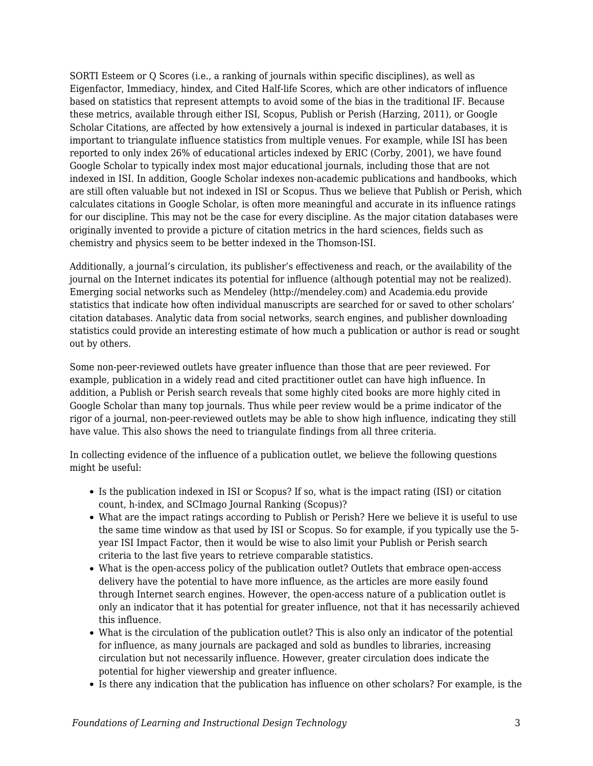SORTI Esteem or Q Scores (i.e., a ranking of journals within specific disciplines), as well as Eigenfactor, Immediacy, hindex, and Cited Half-life Scores, which are other indicators of influence based on statistics that represent attempts to avoid some of the bias in the traditional IF. Because these metrics, available through either ISI, Scopus, Publish or Perish (Harzing, 2011), or Google Scholar Citations, are affected by how extensively a journal is indexed in particular databases, it is important to triangulate influence statistics from multiple venues. For example, while ISI has been reported to only index 26% of educational articles indexed by ERIC (Corby, 2001), we have found Google Scholar to typically index most major educational journals, including those that are not indexed in ISI. In addition, Google Scholar indexes non-academic publications and handbooks, which are still often valuable but not indexed in ISI or Scopus. Thus we believe that Publish or Perish, which calculates citations in Google Scholar, is often more meaningful and accurate in its influence ratings for our discipline. This may not be the case for every discipline. As the major citation databases were originally invented to provide a picture of citation metrics in the hard sciences, fields such as chemistry and physics seem to be better indexed in the Thomson-ISI.

Additionally, a journal's circulation, its publisher's effectiveness and reach, or the availability of the journal on the Internet indicates its potential for influence (although potential may not be realized). Emerging social networks such as Mendeley (http://mendeley.com) and Academia.edu provide statistics that indicate how often individual manuscripts are searched for or saved to other scholars' citation databases. Analytic data from social networks, search engines, and publisher downloading statistics could provide an interesting estimate of how much a publication or author is read or sought out by others.

Some non-peer-reviewed outlets have greater influence than those that are peer reviewed. For example, publication in a widely read and cited practitioner outlet can have high influence. In addition, a Publish or Perish search reveals that some highly cited books are more highly cited in Google Scholar than many top journals. Thus while peer review would be a prime indicator of the rigor of a journal, non-peer-reviewed outlets may be able to show high influence, indicating they still have value. This also shows the need to triangulate findings from all three criteria.

In collecting evidence of the influence of a publication outlet, we believe the following questions might be useful:

- Is the publication indexed in ISI or Scopus? If so, what is the impact rating (ISI) or citation count, h-index, and SCImago Journal Ranking (Scopus)?
- What are the impact ratings according to Publish or Perish? Here we believe it is useful to use the same time window as that used by ISI or Scopus. So for example, if you typically use the 5 year ISI Impact Factor, then it would be wise to also limit your Publish or Perish search criteria to the last five years to retrieve comparable statistics.
- What is the open-access policy of the publication outlet? Outlets that embrace open-access delivery have the potential to have more influence, as the articles are more easily found through Internet search engines. However, the open-access nature of a publication outlet is only an indicator that it has potential for greater influence, not that it has necessarily achieved this influence.
- What is the circulation of the publication outlet? This is also only an indicator of the potential for influence, as many journals are packaged and sold as bundles to libraries, increasing circulation but not necessarily influence. However, greater circulation does indicate the potential for higher viewership and greater influence.
- Is there any indication that the publication has influence on other scholars? For example, is the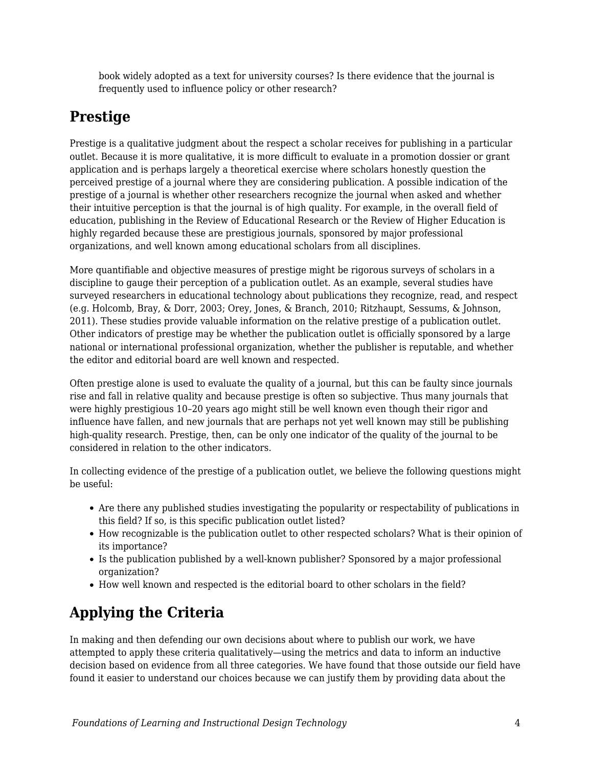book widely adopted as a text for university courses? Is there evidence that the journal is frequently used to influence policy or other research?

## **Prestige**

Prestige is a qualitative judgment about the respect a scholar receives for publishing in a particular outlet. Because it is more qualitative, it is more difficult to evaluate in a promotion dossier or grant application and is perhaps largely a theoretical exercise where scholars honestly question the perceived prestige of a journal where they are considering publication. A possible indication of the prestige of a journal is whether other researchers recognize the journal when asked and whether their intuitive perception is that the journal is of high quality. For example, in the overall field of education, publishing in the Review of Educational Research or the Review of Higher Education is highly regarded because these are prestigious journals, sponsored by major professional organizations, and well known among educational scholars from all disciplines.

More quantifiable and objective measures of prestige might be rigorous surveys of scholars in a discipline to gauge their perception of a publication outlet. As an example, several studies have surveyed researchers in educational technology about publications they recognize, read, and respect (e.g. Holcomb, Bray, & Dorr, 2003; Orey, Jones, & Branch, 2010; Ritzhaupt, Sessums, & Johnson, 2011). These studies provide valuable information on the relative prestige of a publication outlet. Other indicators of prestige may be whether the publication outlet is officially sponsored by a large national or international professional organization, whether the publisher is reputable, and whether the editor and editorial board are well known and respected.

Often prestige alone is used to evaluate the quality of a journal, but this can be faulty since journals rise and fall in relative quality and because prestige is often so subjective. Thus many journals that were highly prestigious 10–20 years ago might still be well known even though their rigor and influence have fallen, and new journals that are perhaps not yet well known may still be publishing high-quality research. Prestige, then, can be only one indicator of the quality of the journal to be considered in relation to the other indicators.

In collecting evidence of the prestige of a publication outlet, we believe the following questions might be useful:

- Are there any published studies investigating the popularity or respectability of publications in this field? If so, is this specific publication outlet listed?
- How recognizable is the publication outlet to other respected scholars? What is their opinion of its importance?
- Is the publication published by a well-known publisher? Sponsored by a major professional organization?
- How well known and respected is the editorial board to other scholars in the field?

# **Applying the Criteria**

In making and then defending our own decisions about where to publish our work, we have attempted to apply these criteria qualitatively—using the metrics and data to inform an inductive decision based on evidence from all three categories. We have found that those outside our field have found it easier to understand our choices because we can justify them by providing data about the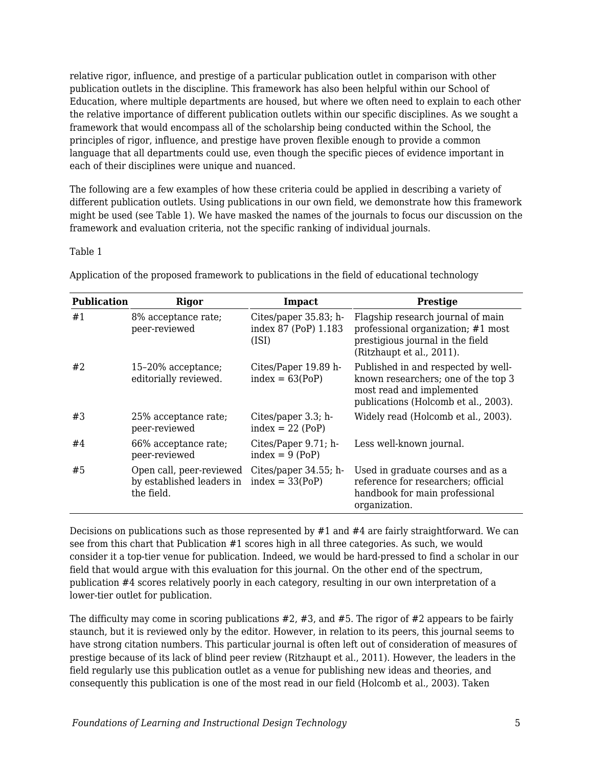relative rigor, influence, and prestige of a particular publication outlet in comparison with other publication outlets in the discipline. This framework has also been helpful within our School of Education, where multiple departments are housed, but where we often need to explain to each other the relative importance of different publication outlets within our specific disciplines. As we sought a framework that would encompass all of the scholarship being conducted within the School, the principles of rigor, influence, and prestige have proven flexible enough to provide a common language that all departments could use, even though the specific pieces of evidence important in each of their disciplines were unique and nuanced.

The following are a few examples of how these criteria could be applied in describing a variety of different publication outlets. Using publications in our own field, we demonstrate how this framework might be used (see Table 1). We have masked the names of the journals to focus our discussion on the framework and evaluation criteria, not the specific ranking of individual journals.

#### Table 1

| <b>Publication</b> | <b>Rigor</b>                                                        | Impact                                                 | <b>Prestige</b>                                                                                                                                 |
|--------------------|---------------------------------------------------------------------|--------------------------------------------------------|-------------------------------------------------------------------------------------------------------------------------------------------------|
| #1                 | 8% acceptance rate;<br>peer-reviewed                                | Cites/paper 35.83; h-<br>index 87 (PoP) 1.183<br>(ISI) | Flagship research journal of main<br>professional organization; #1 most<br>prestigious journal in the field<br>(Ritzhaupt et al., 2011).        |
| #2                 | 15-20% acceptance;<br>editorially reviewed.                         | Cites/Paper 19.89 h-<br>$index = 63(PoP)$              | Published in and respected by well-<br>known researchers; one of the top 3<br>most read and implemented<br>publications (Holcomb et al., 2003). |
| #3                 | 25% acceptance rate;<br>peer-reviewed                               | Cites/paper 3.3; h-<br>$index = 22 (PoP)$              | Widely read (Holcomb et al., 2003).                                                                                                             |
| #4                 | 66% acceptance rate;<br>peer-reviewed                               | Cites/Paper 9.71; h-<br>$index = 9 (PoP)$              | Less well-known journal.                                                                                                                        |
| #5                 | Open call, peer-reviewed<br>by established leaders in<br>the field. | Cites/paper 34.55; h-<br>$index = 33(PoP)$             | Used in graduate courses and as a<br>reference for researchers; official<br>handbook for main professional<br>organization.                     |

Application of the proposed framework to publications in the field of educational technology

Decisions on publications such as those represented by #1 and #4 are fairly straightforward. We can see from this chart that Publication #1 scores high in all three categories. As such, we would consider it a top-tier venue for publication. Indeed, we would be hard-pressed to find a scholar in our field that would argue with this evaluation for this journal. On the other end of the spectrum, publication #4 scores relatively poorly in each category, resulting in our own interpretation of a lower-tier outlet for publication.

The difficulty may come in scoring publications #2, #3, and #5. The rigor of #2 appears to be fairly staunch, but it is reviewed only by the editor. However, in relation to its peers, this journal seems to have strong citation numbers. This particular journal is often left out of consideration of measures of prestige because of its lack of blind peer review (Ritzhaupt et al., 2011). However, the leaders in the field regularly use this publication outlet as a venue for publishing new ideas and theories, and consequently this publication is one of the most read in our field (Holcomb et al., 2003). Taken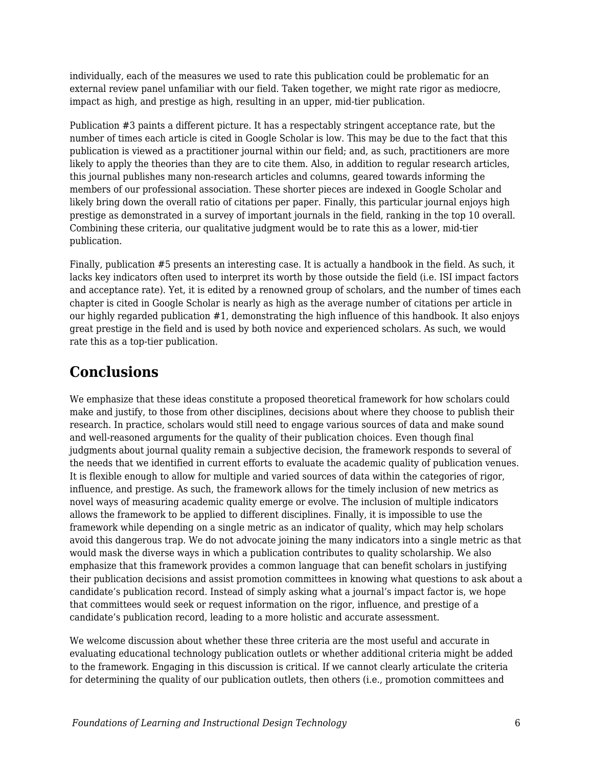individually, each of the measures we used to rate this publication could be problematic for an external review panel unfamiliar with our field. Taken together, we might rate rigor as mediocre, impact as high, and prestige as high, resulting in an upper, mid-tier publication.

Publication #3 paints a different picture. It has a respectably stringent acceptance rate, but the number of times each article is cited in Google Scholar is low. This may be due to the fact that this publication is viewed as a practitioner journal within our field; and, as such, practitioners are more likely to apply the theories than they are to cite them. Also, in addition to regular research articles, this journal publishes many non-research articles and columns, geared towards informing the members of our professional association. These shorter pieces are indexed in Google Scholar and likely bring down the overall ratio of citations per paper. Finally, this particular journal enjoys high prestige as demonstrated in a survey of important journals in the field, ranking in the top 10 overall. Combining these criteria, our qualitative judgment would be to rate this as a lower, mid-tier publication.

Finally, publication #5 presents an interesting case. It is actually a handbook in the field. As such, it lacks key indicators often used to interpret its worth by those outside the field (i.e. ISI impact factors and acceptance rate). Yet, it is edited by a renowned group of scholars, and the number of times each chapter is cited in Google Scholar is nearly as high as the average number of citations per article in our highly regarded publication #1, demonstrating the high influence of this handbook. It also enjoys great prestige in the field and is used by both novice and experienced scholars. As such, we would rate this as a top-tier publication.

## **Conclusions**

We emphasize that these ideas constitute a proposed theoretical framework for how scholars could make and justify, to those from other disciplines, decisions about where they choose to publish their research. In practice, scholars would still need to engage various sources of data and make sound and well-reasoned arguments for the quality of their publication choices. Even though final judgments about journal quality remain a subjective decision, the framework responds to several of the needs that we identified in current efforts to evaluate the academic quality of publication venues. It is flexible enough to allow for multiple and varied sources of data within the categories of rigor, influence, and prestige. As such, the framework allows for the timely inclusion of new metrics as novel ways of measuring academic quality emerge or evolve. The inclusion of multiple indicators allows the framework to be applied to different disciplines. Finally, it is impossible to use the framework while depending on a single metric as an indicator of quality, which may help scholars avoid this dangerous trap. We do not advocate joining the many indicators into a single metric as that would mask the diverse ways in which a publication contributes to quality scholarship. We also emphasize that this framework provides a common language that can benefit scholars in justifying their publication decisions and assist promotion committees in knowing what questions to ask about a candidate's publication record. Instead of simply asking what a journal's impact factor is, we hope that committees would seek or request information on the rigor, influence, and prestige of a candidate's publication record, leading to a more holistic and accurate assessment.

We welcome discussion about whether these three criteria are the most useful and accurate in evaluating educational technology publication outlets or whether additional criteria might be added to the framework. Engaging in this discussion is critical. If we cannot clearly articulate the criteria for determining the quality of our publication outlets, then others (i.e., promotion committees and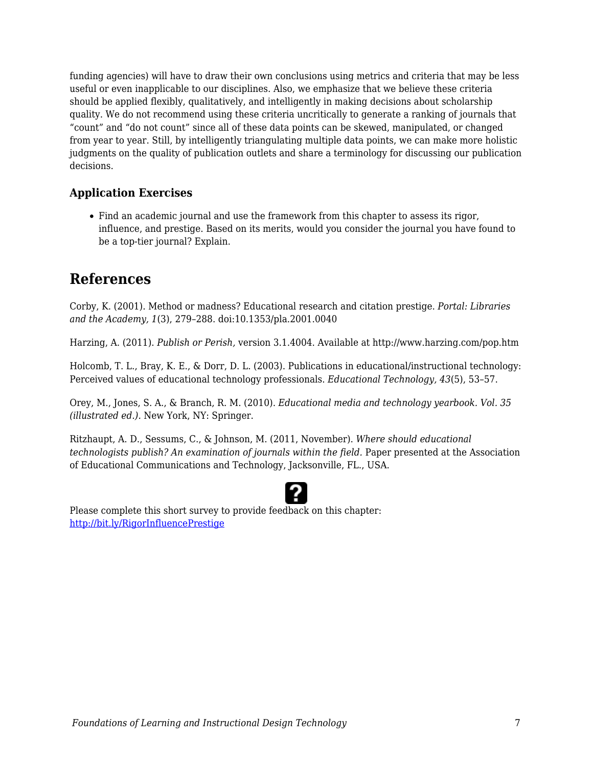funding agencies) will have to draw their own conclusions using metrics and criteria that may be less useful or even inapplicable to our disciplines. Also, we emphasize that we believe these criteria should be applied flexibly, qualitatively, and intelligently in making decisions about scholarship quality. We do not recommend using these criteria uncritically to generate a ranking of journals that "count" and "do not count" since all of these data points can be skewed, manipulated, or changed from year to year. Still, by intelligently triangulating multiple data points, we can make more holistic judgments on the quality of publication outlets and share a terminology for discussing our publication decisions.

#### **Application Exercises**

Find an academic journal and use the framework from this chapter to assess its rigor, influence, and prestige. Based on its merits, would you consider the journal you have found to be a top-tier journal? Explain.

## **References**

Corby, K. (2001). Method or madness? Educational research and citation prestige. *Portal: Libraries and the Academy, 1*(3), 279–288. doi:10.1353/pla.2001.0040

Harzing, A. (2011). *Publish or Perish,* version 3.1.4004. Available at http://www.harzing.com/pop.htm

Holcomb, T. L., Bray, K. E., & Dorr, D. L. (2003). Publications in educational/instructional technology: Perceived values of educational technology professionals. *Educational Technology, 43*(5), 53–57.

Orey, M., Jones, S. A., & Branch, R. M. (2010). *Educational media and technology yearbook. Vol. 35 (illustrated ed.).* New York, NY: Springer.

Ritzhaupt, A. D., Sessums, C., & Johnson, M. (2011, November). *Where should educational technologists publish? An examination of journals within the field.* Paper presented at the Association of Educational Communications and Technology, Jacksonville, FL., USA.



Please complete this short survey to provide feedback on this chapter: <http://bit.ly/RigorInfluencePrestige>